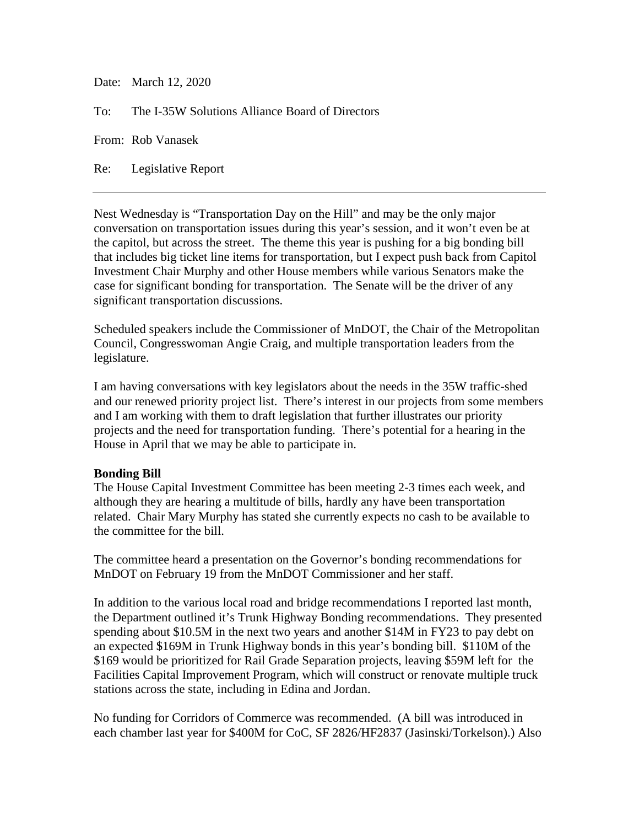Date: March 12, 2020

To: The I-35W Solutions Alliance Board of Directors

From: Rob Vanasek

Re: Legislative Report

Nest Wednesday is "Transportation Day on the Hill" and may be the only major conversation on transportation issues during this year's session, and it won't even be at the capitol, but across the street. The theme this year is pushing for a big bonding bill that includes big ticket line items for transportation, but I expect push back from Capitol Investment Chair Murphy and other House members while various Senators make the case for significant bonding for transportation. The Senate will be the driver of any significant transportation discussions.

Scheduled speakers include the Commissioner of MnDOT, the Chair of the Metropolitan Council, Congresswoman Angie Craig, and multiple transportation leaders from the legislature.

I am having conversations with key legislators about the needs in the 35W traffic-shed and our renewed priority project list. There's interest in our projects from some members and I am working with them to draft legislation that further illustrates our priority projects and the need for transportation funding. There's potential for a hearing in the House in April that we may be able to participate in.

## **Bonding Bill**

The House Capital Investment Committee has been meeting 2-3 times each week, and although they are hearing a multitude of bills, hardly any have been transportation related. Chair Mary Murphy has stated she currently expects no cash to be available to the committee for the bill.

The committee heard a presentation on the Governor's bonding recommendations for MnDOT on February 19 from the MnDOT Commissioner and her staff.

In addition to the various local road and bridge recommendations I reported last month, the Department outlined it's Trunk Highway Bonding recommendations. They presented spending about \$10.5M in the next two years and another \$14M in FY23 to pay debt on an expected \$169M in Trunk Highway bonds in this year's bonding bill. \$110M of the \$169 would be prioritized for Rail Grade Separation projects, leaving \$59M left for the Facilities Capital Improvement Program, which will construct or renovate multiple truck stations across the state, including in Edina and Jordan.

No funding for Corridors of Commerce was recommended. (A bill was introduced in each chamber last year for \$400M for CoC, SF 2826/HF2837 (Jasinski/Torkelson).) Also